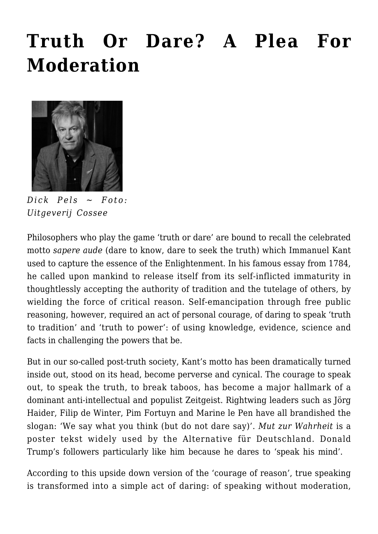## **[Truth Or Dare? A Plea For](https://rozenbergquarterly.com/truth-or-dare-a-plea-for-moderation/) [Moderation](https://rozenbergquarterly.com/truth-or-dare-a-plea-for-moderation/)**



*Dick Pels ~ Foto: Uitgeverij Cossee*

Philosophers who play the game 'truth or dare' are bound to recall the celebrated motto *sapere aude* (dare to know, dare to seek the truth) which Immanuel Kant used to capture the essence of the Enlightenment. In his famous essay from 1784, he called upon mankind to release itself from its self-inflicted immaturity in thoughtlessly accepting the authority of tradition and the tutelage of others, by wielding the force of critical reason. Self-emancipation through free public reasoning, however, required an act of personal courage, of daring to speak 'truth to tradition' and 'truth to power': of using knowledge, evidence, science and facts in challenging the powers that be.

But in our so-called post-truth society, Kant's motto has been dramatically turned inside out, stood on its head, become perverse and cynical. The courage to speak out, to speak the truth, to break taboos, has become a major hallmark of a dominant anti-intellectual and populist Zeitgeist. Rightwing leaders such as Jörg Haider, Filip de Winter, Pim Fortuyn and Marine le Pen have all brandished the slogan: 'We say what you think (but do not dare say)'. *Mut zur Wahrheit* is a poster tekst widely used by the Alternative für Deutschland. Donald Trump's followers particularly like him because he dares to 'speak his mind'.

According to this upside down version of the 'courage of reason', true speaking is transformed into a simple act of daring: of speaking without moderation,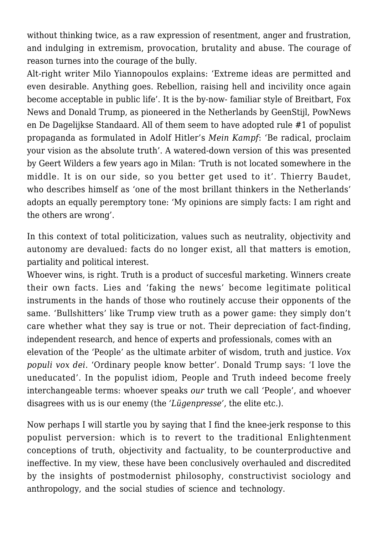without thinking twice, as a raw expression of resentment, anger and frustration, and indulging in extremism, provocation, brutality and abuse. The courage of reason turnes into the courage of the bully.

Alt-right writer Milo Yiannopoulos explains: 'Extreme ideas are permitted and even desirable. Anything goes. Rebellion, raising hell and incivility once again become acceptable in public life'. It is the by-now- familiar style of Breitbart, Fox News and Donald Trump, as pioneered in the Netherlands by GeenStijl, PowNews en De Dagelijkse Standaard. All of them seem to have adopted rule #1 of populist propaganda as formulated in Adolf Hitler's *Mein Kampf*: 'Be radical, proclaim your vision as the absolute truth'. A watered-down version of this was presented by Geert Wilders a few years ago in Milan: 'Truth is not located somewhere in the middle. It is on our side, so you better get used to it'. Thierry Baudet, who describes himself as 'one of the most brillant thinkers in the Netherlands' adopts an equally peremptory tone: 'My opinions are simply facts: I am right and the others are wrong'.

In this context of total politicization, values such as neutrality, objectivity and autonomy are devalued: facts do no longer exist, all that matters is emotion, partiality and political interest.

Whoever wins, is right. Truth is a product of succesful marketing. Winners create their own facts. Lies and 'faking the news' become legitimate political instruments in the hands of those who routinely accuse their opponents of the same. 'Bullshitters' like Trump view truth as a power game: they simply don't care whether what they say is true or not. Their depreciation of fact-finding, independent research, and hence of experts and professionals, comes with an elevation of the 'People' as the ultimate arbiter of wisdom, truth and justice. *Vox populi vox dei*. 'Ordinary people know better'. Donald Trump says: 'I love the uneducated'. In the populist idiom, People and Truth indeed become freely interchangeable terms: whoever speaks *our* truth we call 'People', and whoever disagrees with us is our enemy (the *'Lügenpresse'*, the elite etc.).

Now perhaps I will startle you by saying that I find the knee-jerk response to this populist perversion: which is to revert to the traditional Enlightenment conceptions of truth, objectivity and factuality, to be counterproductive and ineffective. In my view, these have been conclusively overhauled and discredited by the insights of postmodernist philosophy, constructivist sociology and anthropology, and the social studies of science and technology.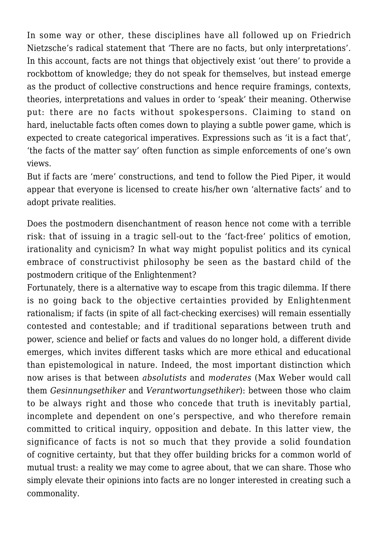In some way or other, these disciplines have all followed up on Friedrich Nietzsche's radical statement that 'There are no facts, but only interpretations'. In this account, facts are not things that objectively exist 'out there' to provide a rockbottom of knowledge; they do not speak for themselves, but instead emerge as the product of collective constructions and hence require framings, contexts, theories, interpretations and values in order to 'speak' their meaning. Otherwise put: there are no facts without spokespersons. Claiming to stand on hard, ineluctable facts often comes down to playing a subtle power game, which is expected to create categorical imperatives. Expressions such as 'it is a fact that', 'the facts of the matter say' often function as simple enforcements of one's own views.

But if facts are 'mere' constructions, and tend to follow the Pied Piper, it would appear that everyone is licensed to create his/her own 'alternative facts' and to adopt private realities.

Does the postmodern disenchantment of reason hence not come with a terrible risk: that of issuing in a tragic sell-out to the 'fact-free' politics of emotion, irationality and cynicism? In what way might populist politics and its cynical embrace of constructivist philosophy be seen as the bastard child of the postmodern critique of the Enlightenment?

Fortunately, there is a alternative way to escape from this tragic dilemma. If there is no going back to the objective certainties provided by Enlightenment rationalism; if facts (in spite of all fact-checking exercises) will remain essentially contested and contestable; and if traditional separations between truth and power, science and belief or facts and values do no longer hold, a different divide emerges, which invites different tasks which are more ethical and educational than epistemological in nature. Indeed, the most important distinction which now arises is that between *absolutists* and *moderates* (Max Weber would call them *Gesinnungsethiker* and *Verantwortungsethiker*): between those who claim to be always right and those who concede that truth is inevitably partial, incomplete and dependent on one's perspective, and who therefore remain committed to critical inquiry, opposition and debate. In this latter view, the significance of facts is not so much that they provide a solid foundation of cognitive certainty, but that they offer building bricks for a common world of mutual trust: a reality we may come to agree about, that we can share. Those who simply elevate their opinions into facts are no longer interested in creating such a commonality.